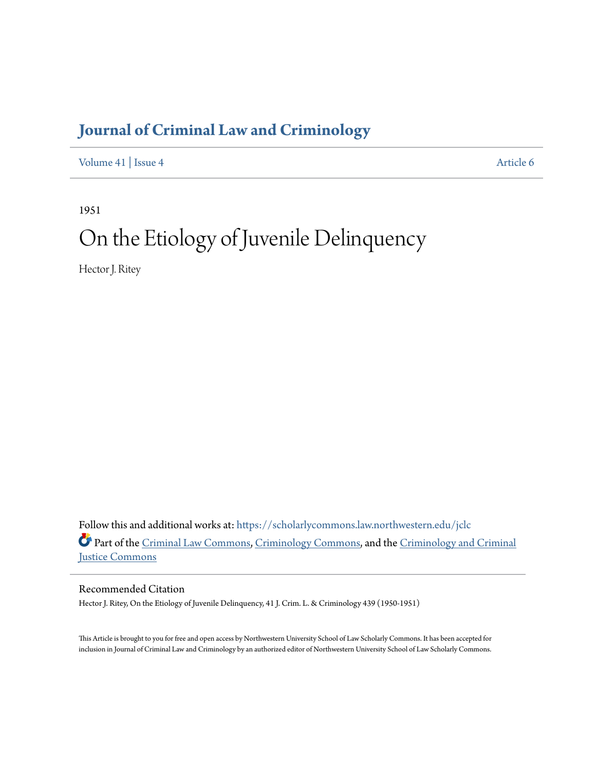## **[Journal of Criminal Law and Criminology](https://scholarlycommons.law.northwestern.edu/jclc?utm_source=scholarlycommons.law.northwestern.edu%2Fjclc%2Fvol41%2Fiss4%2F6&utm_medium=PDF&utm_campaign=PDFCoverPages)**

[Volume 41](https://scholarlycommons.law.northwestern.edu/jclc/vol41?utm_source=scholarlycommons.law.northwestern.edu%2Fjclc%2Fvol41%2Fiss4%2F6&utm_medium=PDF&utm_campaign=PDFCoverPages) | [Issue 4](https://scholarlycommons.law.northwestern.edu/jclc/vol41/iss4?utm_source=scholarlycommons.law.northwestern.edu%2Fjclc%2Fvol41%2Fiss4%2F6&utm_medium=PDF&utm_campaign=PDFCoverPages) [Article 6](https://scholarlycommons.law.northwestern.edu/jclc/vol41/iss4/6?utm_source=scholarlycommons.law.northwestern.edu%2Fjclc%2Fvol41%2Fiss4%2F6&utm_medium=PDF&utm_campaign=PDFCoverPages)

1951

# On the Etiology of Juvenile Delinquency

Hector J. Ritey

Follow this and additional works at: [https://scholarlycommons.law.northwestern.edu/jclc](https://scholarlycommons.law.northwestern.edu/jclc?utm_source=scholarlycommons.law.northwestern.edu%2Fjclc%2Fvol41%2Fiss4%2F6&utm_medium=PDF&utm_campaign=PDFCoverPages) Part of the [Criminal Law Commons](http://network.bepress.com/hgg/discipline/912?utm_source=scholarlycommons.law.northwestern.edu%2Fjclc%2Fvol41%2Fiss4%2F6&utm_medium=PDF&utm_campaign=PDFCoverPages), [Criminology Commons](http://network.bepress.com/hgg/discipline/417?utm_source=scholarlycommons.law.northwestern.edu%2Fjclc%2Fvol41%2Fiss4%2F6&utm_medium=PDF&utm_campaign=PDFCoverPages), and the [Criminology and Criminal](http://network.bepress.com/hgg/discipline/367?utm_source=scholarlycommons.law.northwestern.edu%2Fjclc%2Fvol41%2Fiss4%2F6&utm_medium=PDF&utm_campaign=PDFCoverPages) [Justice Commons](http://network.bepress.com/hgg/discipline/367?utm_source=scholarlycommons.law.northwestern.edu%2Fjclc%2Fvol41%2Fiss4%2F6&utm_medium=PDF&utm_campaign=PDFCoverPages)

Recommended Citation

Hector J. Ritey, On the Etiology of Juvenile Delinquency, 41 J. Crim. L. & Criminology 439 (1950-1951)

This Article is brought to you for free and open access by Northwestern University School of Law Scholarly Commons. It has been accepted for inclusion in Journal of Criminal Law and Criminology by an authorized editor of Northwestern University School of Law Scholarly Commons.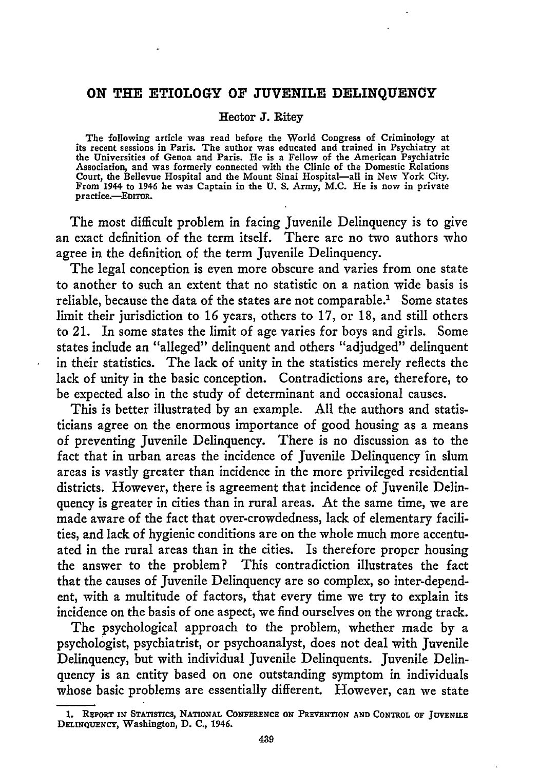#### **ON THE ETIOLOGY OF JUVENILE DELINQUENCY**

#### **Hector J.** Ritey

The following article was read before the World Congress of Criminology at its recent sessions in Paris. The author was educated and trained in Psychiatry at the Universities of Genoa and Paris. He is a Fellow of the American Psychiatric Association, and was formerly connected with the Clinic of the Domestic Relations<br>Court, the Bellevue Hospital and the Mount Sinai Hospital—all in New York City.<br>From 1944 to 1946 he was Captain in the U. S. Army, M.C. He practice.-EDITOR.

The most difficult problem in facing Juvenile Delinquency is to give an exact definition of the term itself. There are no two authors who agree in the definition of the term Juvenile Delinquency.

The legal conception is even more obscure and varies from one state to another to such an extent that no statistic on a nation wide basis is reliable, because the data of the states are not comparable." Some states limit their jurisdiction to 16 years, others to 17, or 18, and still others to 21. In some states the limit of age varies for boys and girls. Some states include an "alleged" delinquent and others "adjudged" delinquent in their statistics. The lack of unity in the statistics merely reflects the lack of unity in the basic conception. Contradictions are, therefore, to be expected also in the study of determinant and occasional causes.

This is better illustrated by an example. All the authors and statisticians agree on the enormous importance of good housing as a means of preventing Juvenile Delinquency. There is no discussion as to the fact that in urban areas the incidence of Juvenile Delinquency in slum areas is vastly greater than incidence in the more privileged residential districts. However, there is agreement that incidence of Juvenile Delinquency is greater in cities than in rural areas. At the same time, we are made aware of the fact that over-crowdedness, lack of elementary facilities, and lack of hygienic conditions are on the whole much more accentuated in the rural areas than in the cities. Is therefore proper housing the answer to the problem? This contradiction illustrates the fact that the causes of Juvenile Delinquency are so complex, so inter-dependent, with a multitude of factors, that every time we try to explain its incidence on the basis of one aspect, we find ourselves on the wrong track.

The psychological approach to the problem, whether made by a psychologist, psychiatrist, or psychoanalyst, does not deal with Juvenile Delinquency, but with individual Juvenile Delinquents. Juvenile Delinquency is an entity based on one outstanding symptom in individuals whose basic problems are essentially different. However, can we state

**<sup>1.</sup> REPORT** *IN* **STATISTICS, NATIONAL CONFERENCE ON PREVENTION AND CONTROL OF JUVENILE DELINQUENCY,** Washington, **D. C.,** 1946.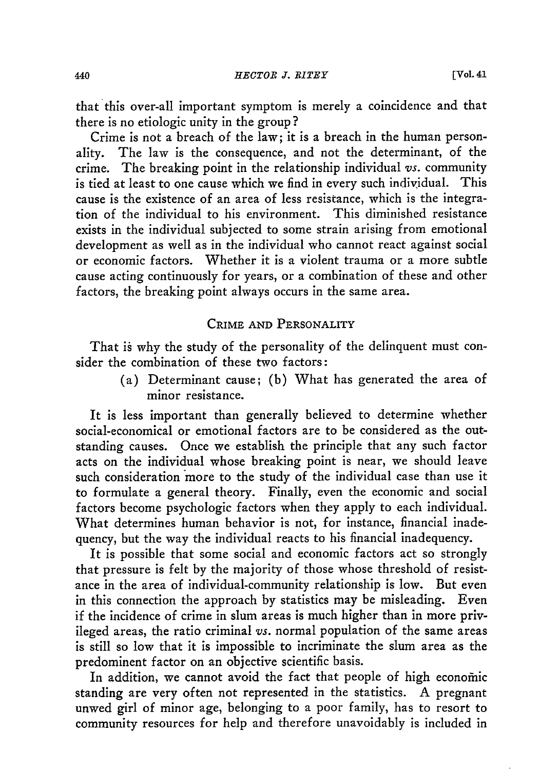that this over-all important symptom is merely a coincidence and that there is no etiologic unity in the group **?**

Crime is not a breach of the law; it is a breach in the human personality. The law is the consequence, and not the determinant, of the crime. The breaking point in the relationship individual *vs.* community is tied at least to one cause which we find in every such individual. This cause is the existence of an area of less resistance, which is the integration of the individual to his environment. This diminished resistance exists in the individual subjected to some strain arising from emotional development as well as in the individual who cannot react against social or economic factors. Whether it is a violent trauma or a more subtle cause acting continuously for years, or a combination of these and other factors, the breaking point always occurs in the same area.

#### CRIME **AND** PERSONALITY

That is why the study of the personality of the delinquent must consider the combination of these two factors:

> (a) Determinant cause; (b) What has generated the area of minor resistance.

It is less important than generally believed to determine whether social-economical or emotional factors are to be considered as the outstanding causes. Once we establish the principle that any such factor acts on the individual whose breaking point is near, we should leave such consideration more to the study of the individual case than use it to formulate a general theory. Finally, even the economic and social factors become psychologic factors when they apply to each individual. What determines human behavior is not, for instance, financial inadequency, but the way the individual reacts to his financial inadequency.

It is possible that some social and economic factors act so strongly that pressure is felt by the majority of those whose threshold of resistance in the area of individual-community relationship is low. But even in this connection the approach by statistics may be misleading. Even if the incidence of crime in slum areas is much higher than in more privileged areas, the ratio criminal *vs.* normal population of the same areas is still so low that it is impossible to incriminate the slum area as the predominent factor on an objective scientific basis.

In addition, we cannot avoid the fact that people of high economic standing are very often not represented in the statistics. A pregnant unwed girl of minor age, belonging to a poor family, has to resort to community resources for help and therefore unavoidably is included in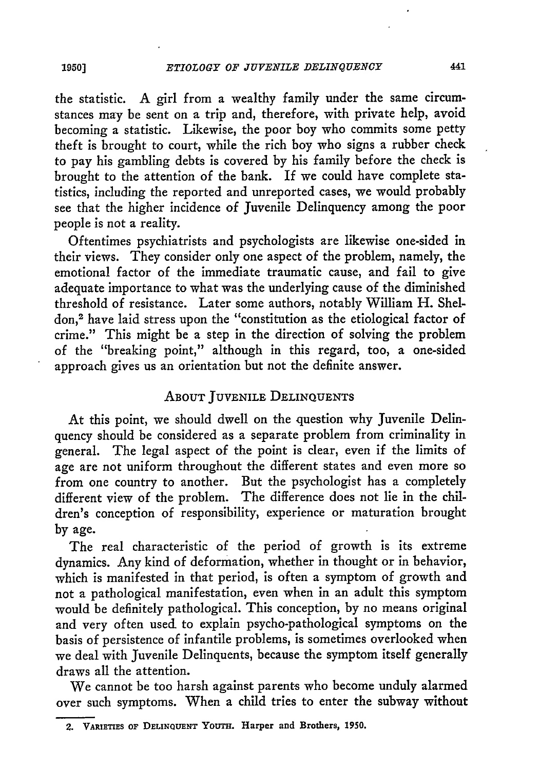the statistic. A girl from a wealthy family under the same circumstances may be sent on a trip and, therefore, with private help, avoid becoming a statistic. Likewise, the poor boy who commits some petty theft is brought to court, while the rich boy who signs a rubber check to pay his gambling debts is covered **by** his family before the check is brought to the attention of the bank. If we could have complete statistics, including the reported and unreported cases, we would probably see that the higher incidence of Juvenile Delinquency among the poor people is not a reality.

Oftentimes psychiatrists and psychologists are likewise one-sided in their views. They consider only one aspect of the problem, namely, the emotional factor of the immediate traumatic cause, and fail to give adequate importance to what was the underlying cause of the diminished threshold of resistance. Later some authors, notably William H. Sheldon,2 have laid stress upon the "constitution as the etiological factor of crime." This might be a step in the direction of solving the problem of the "breaking point," although in this regard, too, a one-sided approach gives us an orientation but not the definite answer.

#### **ABOUT JUVENILE DELINQUENTS**

At this point, we should dwell on the question why Juvenile Delinquency should be considered as a separate problem from criminality in general. The legal aspect of the point is clear, even if the limits of age are not uniform throughout the different states and even more so from one country to another. But the psychologist has a completely different view of the problem. The difference does not lie in the children's conception of responsibility, experience or maturation brought **by** age.

The real characteristic of the period of growth is its extreme dynamics. Any kind of deformation, whether in thought or in behavior, which is manifested in that period, is often a symptom of growth and not a pathological manifestation, even when in an adult this symptom would be definitely pathological. This conception, **by** no means original and very often used. to explain psycho-pathological symptoms on the basis of persistence of infantile problems, is sometimes overlooked when we deal with Juvenile Delinquents, because the symptom itself generally draws all the attention.

We cannot be too harsh against parents who become unduly alarmed over such symptoms. When a child tries to enter the subway without

**1950]**

**<sup>2.</sup> VARIETIES OF DELINQUENT YoUTH. Harper and Brothers, 1950.**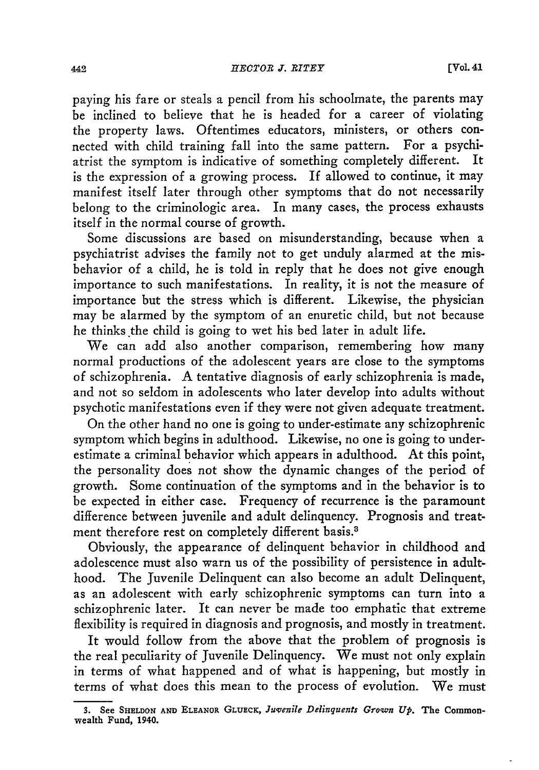paying his fare or steals a pencil from his schoolmate, the parents may be inclined to believe that he is headed for a career of violating the property laws. Oftentimes educators, ministers, or others connected with child training fall into the same pattern. For a psychiatrist the symptom is indicative of something completely different. It is the expression of a growing process. If allowed to continue, it may manifest itself later through other symptoms that do not necessarily belong to the criminologic area. In many cases, the process exhausts itself in the normal course of growth.

Some discussions are based on misunderstanding, because when a psychiatrist advises the family not to get unduly alarmed at the misbehavior of a child, he is told in reply that he does not give enough importance to such manifestations. In reality, it is not the measure of importance but the stress which is different. Likewise, the physician may be alarmed by the symptom of an enuretic child, but not because he thinks the child is going to wet his bed later in adult life.

We can add also another comparison, remembering how many normal productions of the adolescent years are close to the symptoms of schizophrenia. A tentative diagnosis of early schizophrenia is made, and not so seldom in adolescents who later develop into adults without psychotic manifestations even if they were not given adequate treatment.

On the other hand no one is going to under-estimate any schizophrenic symptom which begins in adulthood. Likewise, no one is going to underestimate a criminal behavior which appears in adulthood. At this point, the personality does not show the dynamic changes of the period of growth. Some continuation of the symptoms and in the behavior is to be expected in either case. Frequency of recurrence is the paramount difference between juvenile and adult delinquency. Prognosis and treatment therefore rest on completely different basis.<sup>3</sup>

Obviously, the appearance of delinquent behavior in childhood and adolescence must also warn us of the possibility of persistence in adulthood. The Juvenile Delinquent can also become an adult Delinquent, as an adolescent with early schizophrenic symptoms can turn into a schizophrenic later. It can never be made too emphatic that extreme flexibility is required in diagnosis and prognosis, and mostly in treatment.

It would follow from the above that the problem of prognosis is the real peculiarity of Juvenile Delinquency. We must not only explain in terms of what happened and of what is happening, but mostly in terms of what does this mean to the process of evolution. We must

<sup>3.</sup> See SHELDON AND ELEANOR GLUECK, *Juvenile Delinquents Grown Up*. The Commonwealth Fund, **1940.**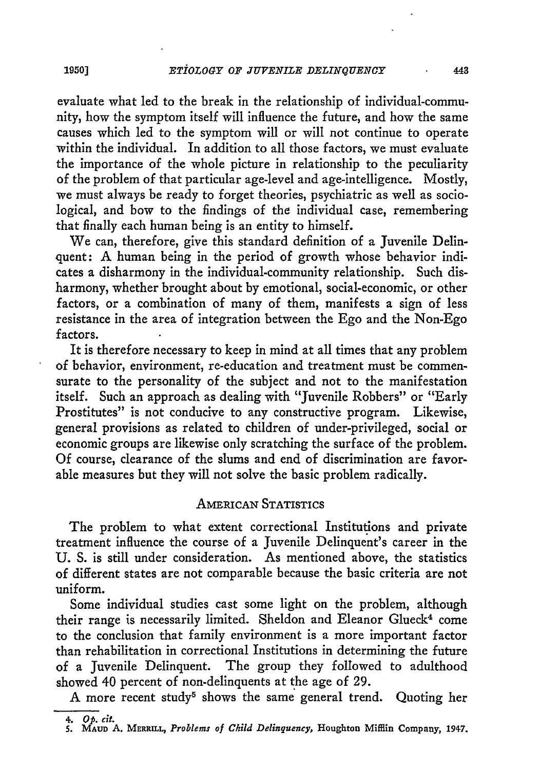evaluate what led to the break in the relationship of individual-community, how the symptom itself will influence the future, and how the same causes which led to the symptom will or will not continue to operate within the individual. In addition to all those factors, we must evaluate the importance of the whole picture in relationship to the peculiarity of the problem of that particular age-level and age-intelligence. Mostly, we must always be ready to forget theories, psychiatric as well as sociological, and bow to the findings of the individual case, remembering that finally each human being is an entity to himself.

We can, therefore, give this standard definition of a Juvenile Delinquent: A human being in the period of growth whose behavior indicates a disharmony in the individual-community relationship. Such disharmony, whether brought about by emotional, social-economic, or other factors, or a combination of many of them, manifests a sign of less resistance in the area of integration between the Ego and the Non-Ego factors.

It is therefore necessary to keep in mind at all times that any problem of behavior, environment, re-education and treatment must be commensurate to the personality of the subject and not to the manifestation itself. Such an approach as dealing with "Juvenile Robbers" or "Early Prostitutes" is not conducive to any constructive program. Likewise, general provisions as related to children of under-privileged, social or economic groups are likewise only scratching the surface of the problem. Of course, clearance of the slums and end of discrimination are favorable measures but they will not solve the basic problem radically.

#### AMERICAN STATISTICS

The problem to what extent correctional Institutions and private treatment influence the course of a Juvenile Delinquent's career in the U. S. is still under consideration. As mentioned above, the statistics of different states are not comparable because the basic criteria are not uniform.

Some individual studies cast some light on the problem, although their range is necessarily limited. Sheldon and Eleanor Glueck<sup>4</sup> come to the conclusion that family environment is a more important factor than rehabilitation in correctional Institutions in determining the future of a Juvenile Delinquent. The group they followed to adulthood showed 40 percent of non-delinquents at the age of 29.

A more recent study<sup>5</sup> shows the same general trend. Quoting her

*<sup>4.</sup> OP.* **cit. 5.** MAuD A. MERRILL, *Problems of Child Delinquency,* Houghton Mifflin Company, 1947.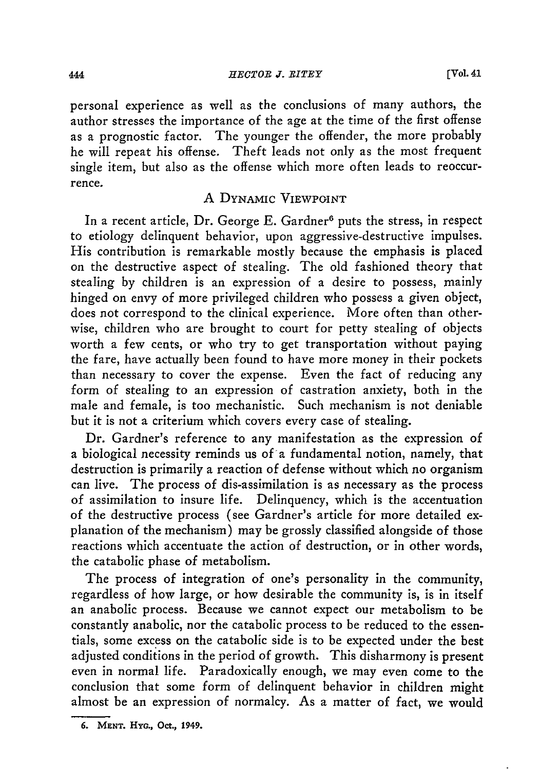*HECTORB J. RITRY*

personal experience as well as the conclusions of many authors, the author stresses the importance of the age at the time of the first offense as a prognostic factor. The younger the offender, the more probably he will repeat his offense. Theft leads not only as the most frequent single item, but also as the offense which more often leads to reoccurrence.

### A DYNAMIC VIEWPOINT

In a recent article, Dr. George E. Gardner<sup>6</sup> puts the stress, in respect to etiology delinquent behavior, upon aggressive-destructive impulses. His contribution is remarkable mostly because the emphasis is placed on the destructive aspect of stealing. The old fashioned theory that stealing by children is an expression of a desire to possess, mainly hinged on envy of more privileged children who possess a given object, does not correspond to the clinical experience. More often than otherwise, children who are brought to court for petty stealing of objects worth a few cents, or who try to get transportation without paying the fare, have actually been found to have more money in their pockets than necessary to cover the expense. Even the fact of reducing any form of stealing to an expression of castration anxiety, both in the male and female, is too mechanistic. Such mechanism is not deniable but it is not a criterium which covers every case of stealing.

Dr. Gardner's reference to any manifestation as the expression of a biological necessity reminds us of a fundamental notion, namely, that destruction is primarily a reaction of defense without which no organism can live. The process of dis-assimilation is as necessary as the process of assimilation to insure life. Delinquency, which is the accentuation of the destructive process (see Gardner's article for more detailed explanation of the mechanism) may be grossly classified alongside of those reactions which accentuate the action of destruction, or in other words, the catabolic phase of metabolism.

The process of integration of one's personality in the community, regardless of how large, or how desirable the community is, is in itself an anabolic process. Because we cannot expect our metabolism to be constantly anabolic, nor the catabolic process to be reduced to the essentials, some excess on the catabolic side is to be expected under the best adjusted conditions in the period of growth. This disharmony is present even in normal life. Paradoxically enough, we may even come to the conclusion that some form of delinquent behavior in children might almost be an expression of normalcy. As a matter of fact, we would

**<sup>6.</sup> MENT. HYG., Oct., 1949.**